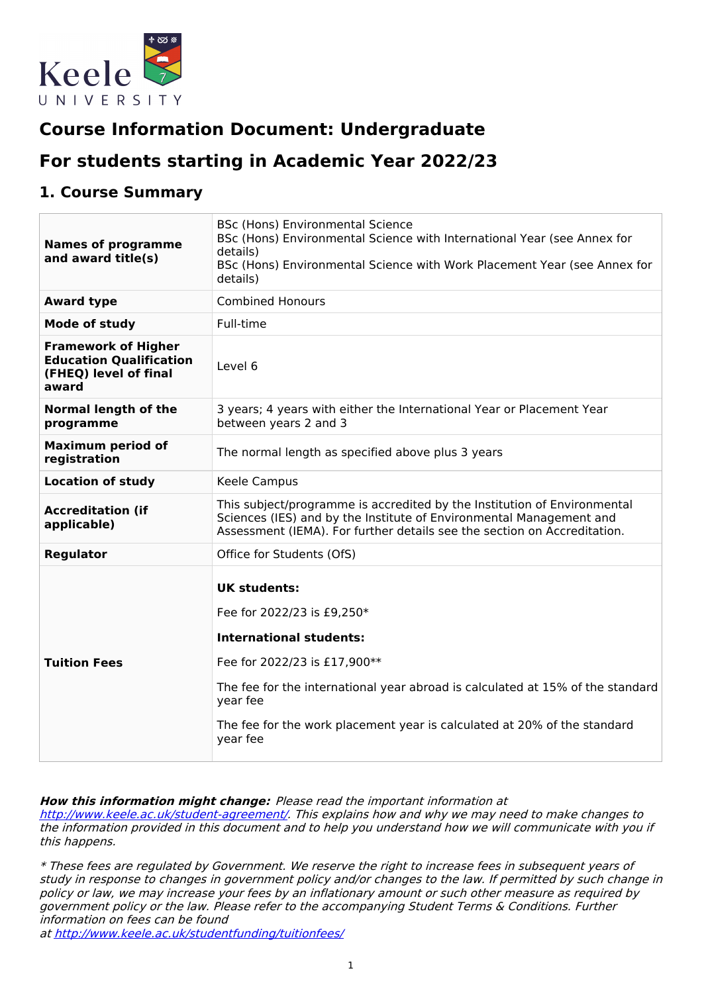

# **Course Information Document: Undergraduate**

# **For students starting in Academic Year 2022/23**

## **1. Course Summary**

| <b>Names of programme</b><br>and award title(s)                                                | BSc (Hons) Environmental Science<br>BSc (Hons) Environmental Science with International Year (see Annex for<br>details)<br>BSc (Hons) Environmental Science with Work Placement Year (see Annex for<br>details)                                                                                           |
|------------------------------------------------------------------------------------------------|-----------------------------------------------------------------------------------------------------------------------------------------------------------------------------------------------------------------------------------------------------------------------------------------------------------|
| <b>Award type</b>                                                                              | <b>Combined Honours</b>                                                                                                                                                                                                                                                                                   |
| Mode of study                                                                                  | Full-time                                                                                                                                                                                                                                                                                                 |
| <b>Framework of Higher</b><br><b>Education Qualification</b><br>(FHEQ) level of final<br>award | Level 6                                                                                                                                                                                                                                                                                                   |
| <b>Normal length of the</b><br>programme                                                       | 3 years; 4 years with either the International Year or Placement Year<br>between years 2 and 3                                                                                                                                                                                                            |
| <b>Maximum period of</b><br>registration                                                       | The normal length as specified above plus 3 years                                                                                                                                                                                                                                                         |
| <b>Location of study</b>                                                                       | Keele Campus                                                                                                                                                                                                                                                                                              |
| <b>Accreditation (if</b><br>applicable)                                                        | This subject/programme is accredited by the Institution of Environmental<br>Sciences (IES) and by the Institute of Environmental Management and<br>Assessment (IEMA). For further details see the section on Accreditation.                                                                               |
| <b>Regulator</b>                                                                               | Office for Students (OfS)                                                                                                                                                                                                                                                                                 |
| <b>Tuition Fees</b>                                                                            | <b>UK students:</b><br>Fee for 2022/23 is £9,250*<br><b>International students:</b><br>Fee for 2022/23 is £17,900**<br>The fee for the international year abroad is calculated at 15% of the standard<br>year fee<br>The fee for the work placement year is calculated at 20% of the standard<br>year fee |

#### **How this information might change:** Please read the important information at

<http://www.keele.ac.uk/student-agreement/>. This explains how and why we may need to make changes to the information provided in this document and to help you understand how we will communicate with you if this happens.

\* These fees are regulated by Government. We reserve the right to increase fees in subsequent years of study in response to changes in government policy and/or changes to the law. If permitted by such change in policy or law, we may increase your fees by an inflationary amount or such other measure as required by government policy or the law. Please refer to the accompanying Student Terms & Conditions. Further information on fees can be found

at <http://www.keele.ac.uk/studentfunding/tuitionfees/>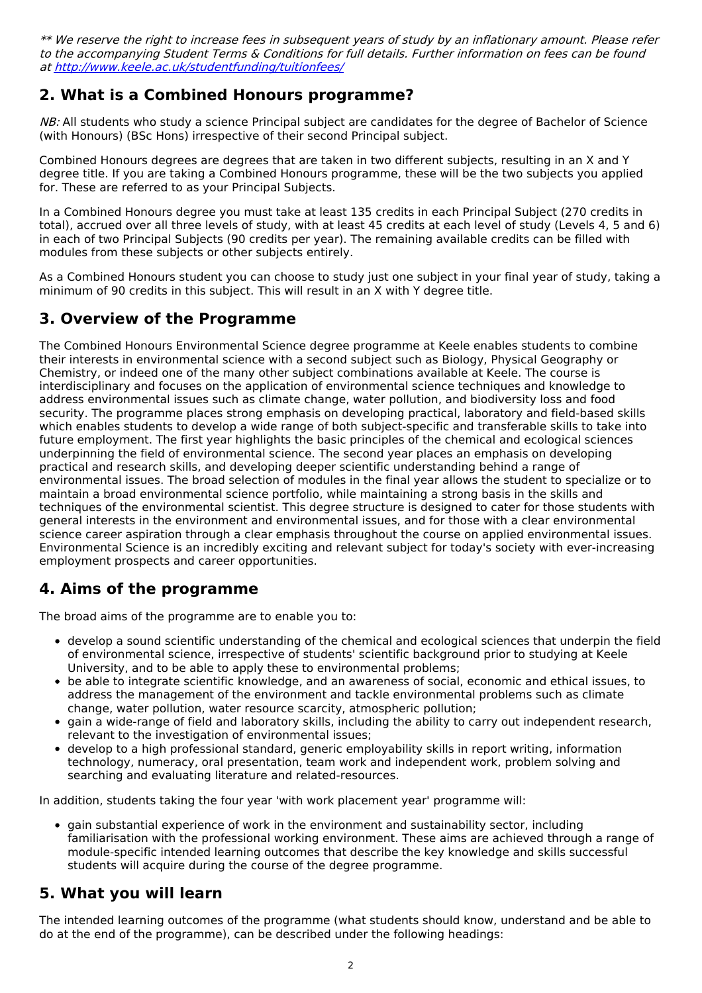\*\* We reserve the right to increase fees in subsequent years of study by an inflationary amount. Please refer to the accompanying Student Terms & Conditions for full details. Further information on fees can be found at <http://www.keele.ac.uk/studentfunding/tuitionfees/>

# **2. What is a Combined Honours programme?**

NB: All students who study a science Principal subject are candidates for the degree of Bachelor of Science (with Honours) (BSc Hons) irrespective of their second Principal subject.

Combined Honours degrees are degrees that are taken in two different subjects, resulting in an X and Y degree title. If you are taking a Combined Honours programme, these will be the two subjects you applied for. These are referred to as your Principal Subjects.

In a Combined Honours degree you must take at least 135 credits in each Principal Subject (270 credits in total), accrued over all three levels of study, with at least 45 credits at each level of study (Levels 4, 5 and 6) in each of two Principal Subjects (90 credits per year). The remaining available credits can be filled with modules from these subjects or other subjects entirely.

As a Combined Honours student you can choose to study just one subject in your final year of study, taking a minimum of 90 credits in this subject. This will result in an X with Y degree title.

# **3. Overview of the Programme**

The Combined Honours Environmental Science degree programme at Keele enables students to combine their interests in environmental science with a second subject such as Biology, Physical Geography or Chemistry, or indeed one of the many other subject combinations available at Keele. The course is interdisciplinary and focuses on the application of environmental science techniques and knowledge to address environmental issues such as climate change, water pollution, and biodiversity loss and food security. The programme places strong emphasis on developing practical, laboratory and field-based skills which enables students to develop a wide range of both subject-specific and transferable skills to take into future employment. The first year highlights the basic principles of the chemical and ecological sciences underpinning the field of environmental science. The second year places an emphasis on developing practical and research skills, and developing deeper scientific understanding behind a range of environmental issues. The broad selection of modules in the final year allows the student to specialize or to maintain a broad environmental science portfolio, while maintaining a strong basis in the skills and techniques of the environmental scientist. This degree structure is designed to cater for those students with general interests in the environment and environmental issues, and for those with a clear environmental science career aspiration through a clear emphasis throughout the course on applied environmental issues. Environmental Science is an incredibly exciting and relevant subject for today's society with ever-increasing employment prospects and career opportunities.

# **4. Aims of the programme**

The broad aims of the programme are to enable you to:

- develop a sound scientific understanding of the chemical and ecological sciences that underpin the field of environmental science, irrespective of students' scientific background prior to studying at Keele University, and to be able to apply these to environmental problems;
- be able to integrate scientific knowledge, and an awareness of social, economic and ethical issues, to address the management of the environment and tackle environmental problems such as climate change, water pollution, water resource scarcity, atmospheric pollution;
- gain a wide-range of field and laboratory skills, including the ability to carry out independent research, relevant to the investigation of environmental issues;
- develop to a high professional standard, generic employability skills in report writing, information technology, numeracy, oral presentation, team work and independent work, problem solving and searching and evaluating literature and related-resources.

In addition, students taking the four year 'with work placement year' programme will:

gain substantial experience of work in the environment and sustainability sector, including familiarisation with the professional working environment. These aims are achieved through a range of module-specific intended learning outcomes that describe the key knowledge and skills successful students will acquire during the course of the degree programme.

# **5. What you will learn**

The intended learning outcomes of the programme (what students should know, understand and be able to do at the end of the programme), can be described under the following headings: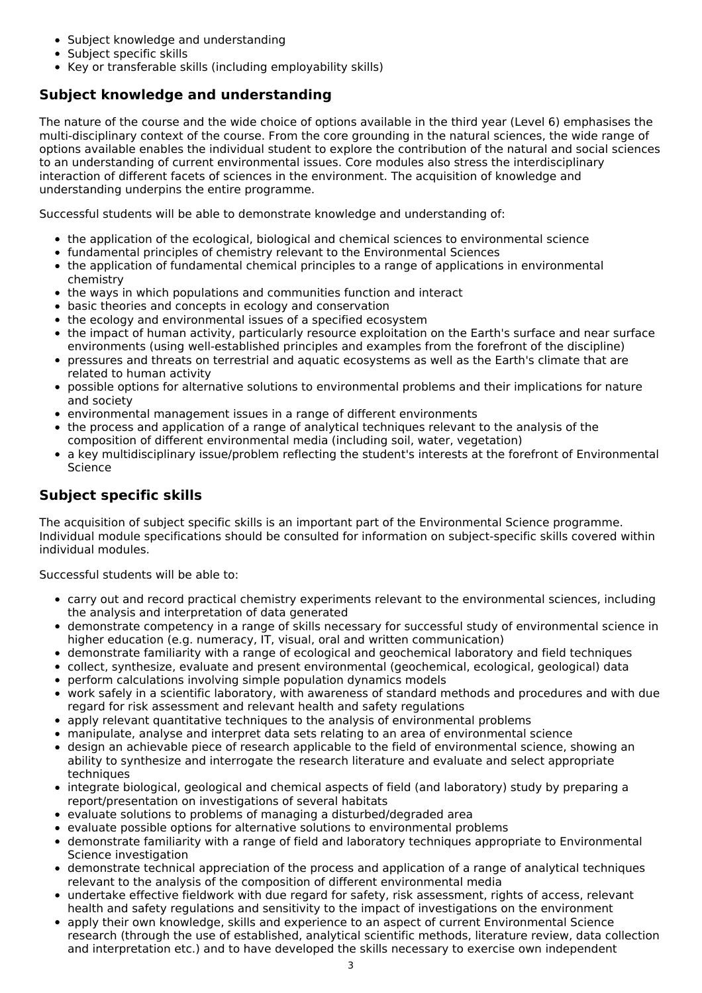- Subject knowledge and understanding
- Subject specific skills
- Key or transferable skills (including employability skills)

## **Subject knowledge and understanding**

The nature of the course and the wide choice of options available in the third year (Level 6) emphasises the multi-disciplinary context of the course. From the core grounding in the natural sciences, the wide range of options available enables the individual student to explore the contribution of the natural and social sciences to an understanding of current environmental issues. Core modules also stress the interdisciplinary interaction of different facets of sciences in the environment. The acquisition of knowledge and understanding underpins the entire programme.

Successful students will be able to demonstrate knowledge and understanding of:

- the application of the ecological, biological and chemical sciences to environmental science
- fundamental principles of chemistry relevant to the Environmental Sciences
- the application of fundamental chemical principles to a range of applications in environmental chemistry
- the ways in which populations and communities function and interact
- basic theories and concepts in ecology and conservation
- the ecology and environmental issues of a specified ecosystem
- the impact of human activity, particularly resource exploitation on the Earth's surface and near surface environments (using well-established principles and examples from the forefront of the discipline)
- pressures and threats on terrestrial and aquatic ecosystems as well as the Earth's climate that are related to human activity
- $\bullet$ possible options for alternative solutions to environmental problems and their implications for nature and society
- environmental management issues in a range of different environments
- the process and application of a range of analytical techniques relevant to the analysis of the composition of different environmental media (including soil, water, vegetation)
- a key multidisciplinary issue/problem reflecting the student's interests at the forefront of Environmental Science

## **Subject specific skills**

The acquisition of subject specific skills is an important part of the Environmental Science programme. Individual module specifications should be consulted for information on subject-specific skills covered within individual modules.

Successful students will be able to:

- carry out and record practical chemistry experiments relevant to the environmental sciences, including the analysis and interpretation of data generated
- demonstrate competency in a range of skills necessary for successful study of environmental science in higher education (e.g. numeracy, IT, visual, oral and written communication)
- demonstrate familiarity with a range of ecological and geochemical laboratory and field techniques
- collect, synthesize, evaluate and present environmental (geochemical, ecological, geological) data
- perform calculations involving simple population dynamics models  $\bullet$
- work safely in a scientific laboratory, with awareness of standard methods and procedures and with due regard for risk assessment and relevant health and safety regulations
- apply relevant quantitative techniques to the analysis of environmental problems
- manipulate, analyse and interpret data sets relating to an area of environmental science
- design an achievable piece of research applicable to the field of environmental science, showing an ability to synthesize and interrogate the research literature and evaluate and select appropriate techniques
- integrate biological, geological and chemical aspects of field (and laboratory) study by preparing a report/presentation on investigations of several habitats
- evaluate solutions to problems of managing a disturbed/degraded area
- evaluate possible options for alternative solutions to environmental problems
- demonstrate familiarity with a range of field and laboratory techniques appropriate to Environmental Science investigation
- demonstrate technical appreciation of the process and application of a range of analytical techniques relevant to the analysis of the composition of different environmental media
- undertake effective fieldwork with due regard for safety, risk assessment, rights of access, relevant health and safety regulations and sensitivity to the impact of investigations on the environment
- apply their own knowledge, skills and experience to an aspect of current Environmental Science research (through the use of established, analytical scientific methods, literature review, data collection and interpretation etc.) and to have developed the skills necessary to exercise own independent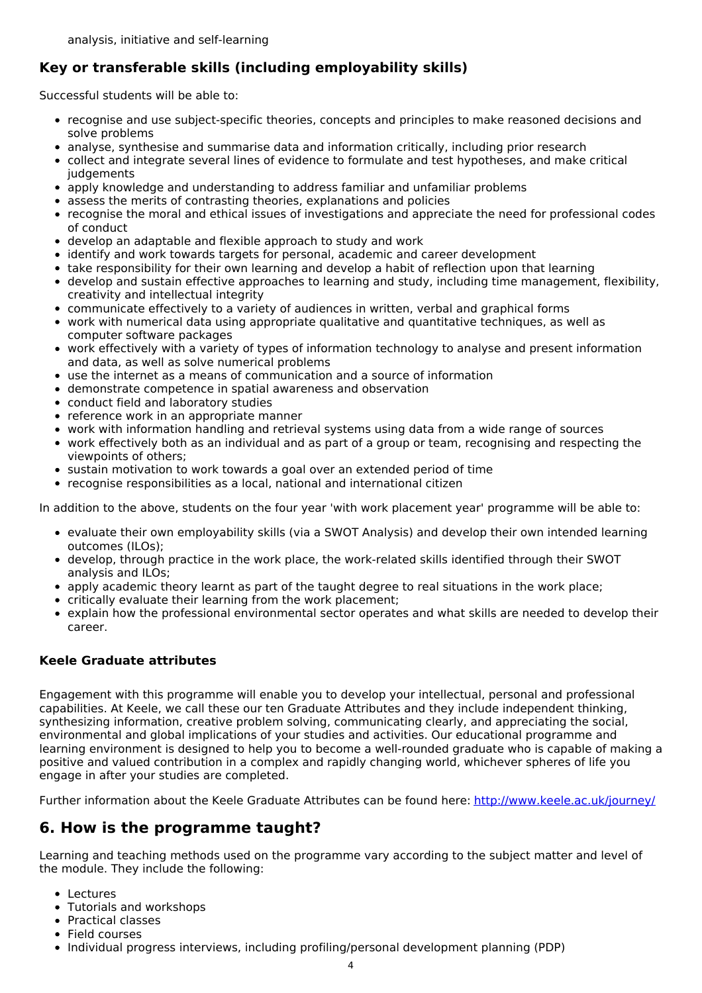# **Key or transferable skills (including employability skills)**

Successful students will be able to:

- recognise and use subject-specific theories, concepts and principles to make reasoned decisions and solve problems
- analyse, synthesise and summarise data and information critically, including prior research
- collect and integrate several lines of evidence to formulate and test hypotheses, and make critical iudgements
- apply knowledge and understanding to address familiar and unfamiliar problems
- assess the merits of contrasting theories, explanations and policies
- recognise the moral and ethical issues of investigations and appreciate the need for professional codes of conduct
- develop an adaptable and flexible approach to study and work
- identify and work towards targets for personal, academic and career development
- take responsibility for their own learning and develop a habit of reflection upon that learning
- develop and sustain effective approaches to learning and study, including time management, flexibility, creativity and intellectual integrity
- communicate effectively to a variety of audiences in written, verbal and graphical forms
- work with numerical data using appropriate qualitative and quantitative techniques, as well as computer software packages
- work effectively with a variety of types of information technology to analyse and present information and data, as well as solve numerical problems
- use the internet as a means of communication and a source of information
- demonstrate competence in spatial awareness and observation
- conduct field and laboratory studies
- reference work in an appropriate manner
- work with information handling and retrieval systems using data from a wide range of sources
- work effectively both as an individual and as part of a group or team, recognising and respecting the viewpoints of others;
- sustain motivation to work towards a goal over an extended period of time
- recognise responsibilities as a local, national and international citizen

In addition to the above, students on the four year 'with work placement year' programme will be able to:

- evaluate their own employability skills (via a SWOT Analysis) and develop their own intended learning outcomes (ILOs);
- develop, through practice in the work place, the work-related skills identified through their SWOT analysis and ILOs;
- apply academic theory learnt as part of the taught degree to real situations in the work place;
- critically evaluate their learning from the work placement;
- explain how the professional environmental sector operates and what skills are needed to develop their career.

## **Keele Graduate attributes**

Engagement with this programme will enable you to develop your intellectual, personal and professional capabilities. At Keele, we call these our ten Graduate Attributes and they include independent thinking, synthesizing information, creative problem solving, communicating clearly, and appreciating the social, environmental and global implications of your studies and activities. Our educational programme and learning environment is designed to help you to become a well-rounded graduate who is capable of making a positive and valued contribution in a complex and rapidly changing world, whichever spheres of life you engage in after your studies are completed.

Further information about the Keele Graduate Attributes can be found here: <http://www.keele.ac.uk/journey/>

# **6. How is the programme taught?**

Learning and teaching methods used on the programme vary according to the subject matter and level of the module. They include the following:

- **•** Lectures
- Tutorials and workshops
- Practical classes
- Field courses
- Individual progress interviews, including profiling/personal development planning (PDP)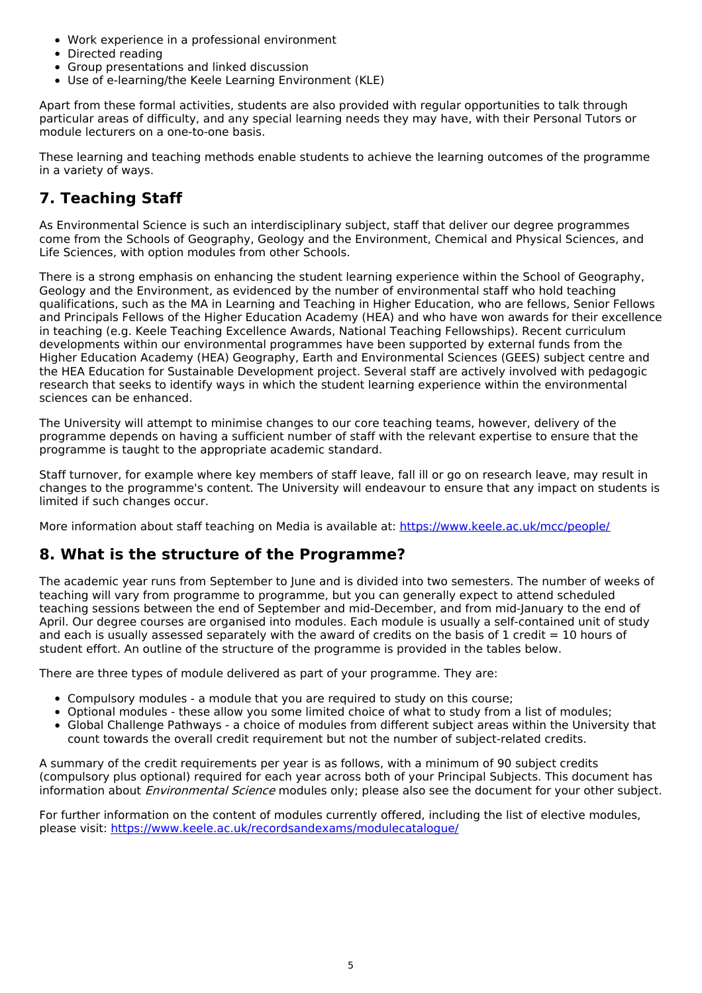- Work experience in a professional environment
- Directed reading
- Group presentations and linked discussion
- Use of e-learning/the Keele Learning Environment (KLE)

Apart from these formal activities, students are also provided with regular opportunities to talk through particular areas of difficulty, and any special learning needs they may have, with their Personal Tutors or module lecturers on a one-to-one basis.

These learning and teaching methods enable students to achieve the learning outcomes of the programme in a variety of ways.

# **7. Teaching Staff**

As Environmental Science is such an interdisciplinary subject, staff that deliver our degree programmes come from the Schools of Geography, Geology and the Environment, Chemical and Physical Sciences, and Life Sciences, with option modules from other Schools.

There is a strong emphasis on enhancing the student learning experience within the School of Geography, Geology and the Environment, as evidenced by the number of environmental staff who hold teaching qualifications, such as the MA in Learning and Teaching in Higher Education, who are fellows, Senior Fellows and Principals Fellows of the Higher Education Academy (HEA) and who have won awards for their excellence in teaching (e.g. Keele Teaching Excellence Awards, National Teaching Fellowships). Recent curriculum developments within our environmental programmes have been supported by external funds from the Higher Education Academy (HEA) Geography, Earth and Environmental Sciences (GEES) subject centre and the HEA Education for Sustainable Development project. Several staff are actively involved with pedagogic research that seeks to identify ways in which the student learning experience within the environmental sciences can be enhanced.

The University will attempt to minimise changes to our core teaching teams, however, delivery of the programme depends on having a sufficient number of staff with the relevant expertise to ensure that the programme is taught to the appropriate academic standard.

Staff turnover, for example where key members of staff leave, fall ill or go on research leave, may result in changes to the programme's content. The University will endeavour to ensure that any impact on students is limited if such changes occur.

More information about staff teaching on Media is available at: <https://www.keele.ac.uk/mcc/people/>

## **8. What is the structure of the Programme?**

The academic year runs from September to June and is divided into two semesters. The number of weeks of teaching will vary from programme to programme, but you can generally expect to attend scheduled teaching sessions between the end of September and mid-December, and from mid-January to the end of April. Our degree courses are organised into modules. Each module is usually a self-contained unit of study and each is usually assessed separately with the award of credits on the basis of 1 credit  $= 10$  hours of student effort. An outline of the structure of the programme is provided in the tables below.

There are three types of module delivered as part of your programme. They are:

- Compulsory modules a module that you are required to study on this course;
- Optional modules these allow you some limited choice of what to study from a list of modules;
- Global Challenge Pathways a choice of modules from different subject areas within the University that count towards the overall credit requirement but not the number of subject-related credits.

A summary of the credit requirements per year is as follows, with a minimum of 90 subject credits (compulsory plus optional) required for each year across both of your Principal Subjects. This document has information about *Environmental Science* modules only; please also see the document for your other subject.

For further information on the content of modules currently offered, including the list of elective modules, please visit: <https://www.keele.ac.uk/recordsandexams/modulecatalogue/>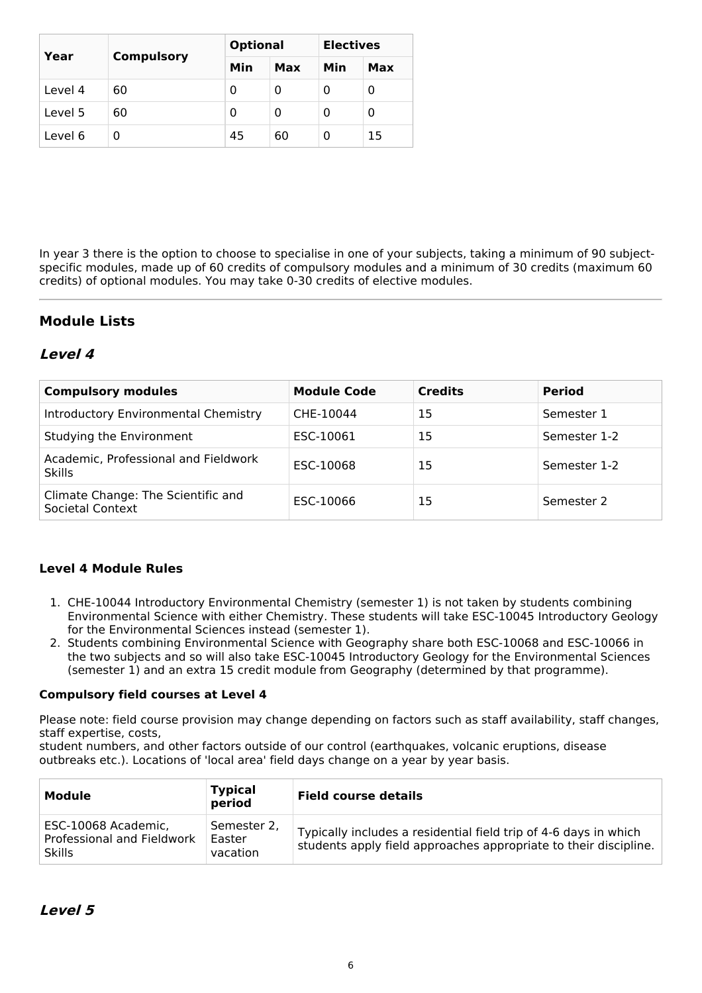| Year    | <b>Compulsory</b> | <b>Optional</b> |     | <b>Electives</b> |     |
|---------|-------------------|-----------------|-----|------------------|-----|
|         |                   | Min             | Max | Min              | Max |
| Level 4 | 60                | 0               | 0   |                  | 0   |
| Level 5 | 60                | 0               | 0   | O                | 0   |
| Level 6 |                   | 45              | 60  | $\Omega$         | 15  |

In year 3 there is the option to choose to specialise in one of your subjects, taking a minimum of 90 subjectspecific modules, made up of 60 credits of compulsory modules and a minimum of 30 credits (maximum 60 credits) of optional modules. You may take 0-30 credits of elective modules.

## **Module Lists**

## **Level 4**

| <b>Compulsory modules</b>                              | <b>Module Code</b> | <b>Credits</b> | <b>Period</b> |
|--------------------------------------------------------|--------------------|----------------|---------------|
| Introductory Environmental Chemistry                   | CHE-10044          | 15             | Semester 1    |
| Studying the Environment                               | ESC-10061          | 15             | Semester 1-2  |
| Academic, Professional and Fieldwork<br><b>Skills</b>  | ESC-10068          | 15             | Semester 1-2  |
| Climate Change: The Scientific and<br>Societal Context | ESC-10066          | 15             | Semester 2    |

### **Level 4 Module Rules**

- 1. CHE-10044 Introductory Environmental Chemistry (semester 1) is not taken by students combining Environmental Science with either Chemistry. These students will take ESC-10045 Introductory Geology for the Environmental Sciences instead (semester 1).
- 2. Students combining Environmental Science with Geography share both ESC-10068 and ESC-10066 in the two subjects and so will also take ESC-10045 Introductory Geology for the Environmental Sciences (semester 1) and an extra 15 credit module from Geography (determined by that programme).

#### **Compulsory field courses at Level 4**

Please note: field course provision may change depending on factors such as staff availability, staff changes, staff expertise, costs,

student numbers, and other factors outside of our control (earthquakes, volcanic eruptions, disease outbreaks etc.). Locations of 'local area' field days change on a year by year basis.

| Module                                                             | <b>Typical</b><br>period          | <b>Field course details</b>                                                                                                          |
|--------------------------------------------------------------------|-----------------------------------|--------------------------------------------------------------------------------------------------------------------------------------|
| ESC-10068 Academic,<br>Professional and Fieldwork<br><b>Skills</b> | Semester 2.<br>Easter<br>vacation | Typically includes a residential field trip of 4-6 days in which<br>students apply field approaches appropriate to their discipline. |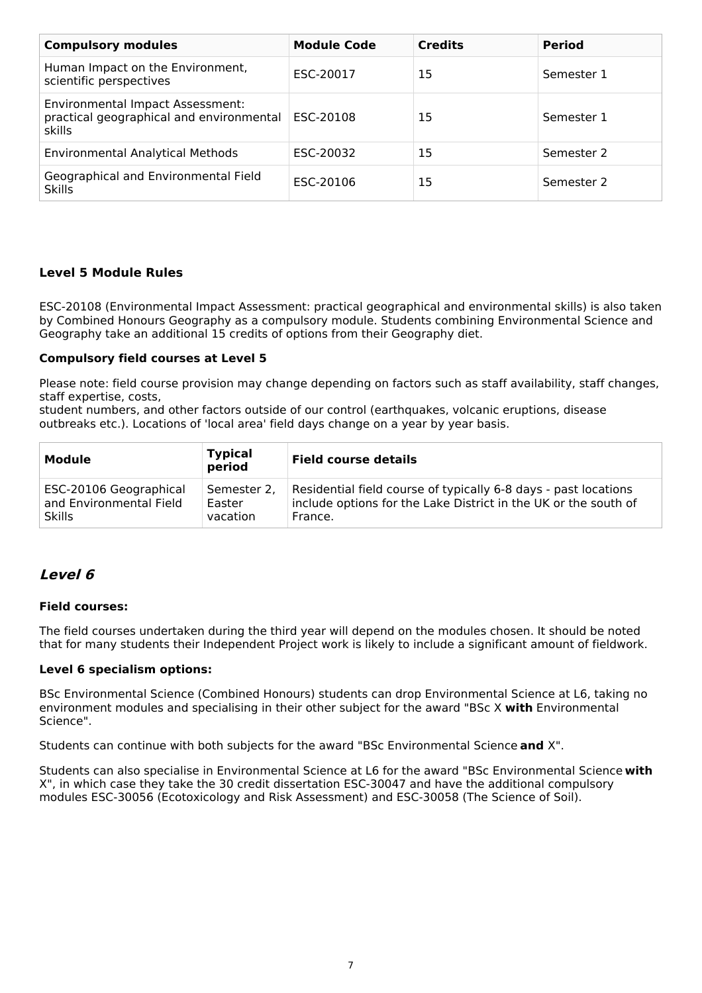| <b>Compulsory modules</b>                                                              | <b>Module Code</b> | <b>Credits</b> | <b>Period</b> |
|----------------------------------------------------------------------------------------|--------------------|----------------|---------------|
| Human Impact on the Environment,<br>scientific perspectives                            | ESC-20017          | 15             | Semester 1    |
| Environmental Impact Assessment:<br>practical geographical and environmental<br>skills | ESC-20108          | 15             | Semester 1    |
| <b>Environmental Analytical Methods</b>                                                | ESC-20032          | 15             | Semester 2    |
| Geographical and Environmental Field<br><b>Skills</b>                                  | ESC-20106          | 15             | Semester 2    |

### **Level 5 Module Rules**

ESC-20108 (Environmental Impact Assessment: practical geographical and environmental skills) is also taken by Combined Honours Geography as a compulsory module. Students combining Environmental Science and Geography take an additional 15 credits of options from their Geography diet.

#### **Compulsory field courses at Level 5**

Please note: field course provision may change depending on factors such as staff availability, staff changes, staff expertise, costs,

student numbers, and other factors outside of our control (earthquakes, volcanic eruptions, disease outbreaks etc.). Locations of 'local area' field days change on a year by year basis.

| Module                  | <b>Typical</b><br>period | <b>Field course details</b>                                     |
|-------------------------|--------------------------|-----------------------------------------------------------------|
| ESC-20106 Geographical  | Semester 2.              | Residential field course of typically 6-8 days - past locations |
| and Environmental Field | Easter                   | include options for the Lake District in the UK or the south of |
| <b>Skills</b>           | vacation                 | France.                                                         |

## **Level 6**

#### **Field courses:**

The field courses undertaken during the third year will depend on the modules chosen. It should be noted that for many students their Independent Project work is likely to include a significant amount of fieldwork.

#### **Level 6 specialism options:**

BSc Environmental Science (Combined Honours) students can drop Environmental Science at L6, taking no environment modules and specialising in their other subject for the award "BSc X **with** Environmental Science".

Students can continue with both subjects for the award "BSc Environmental Science **and** X".

Students can also specialise in Environmental Science at L6 for the award "BSc Environmental Science **with** X", in which case they take the 30 credit dissertation ESC-30047 and have the additional compulsory modules ESC-30056 (Ecotoxicology and Risk Assessment) and ESC-30058 (The Science of Soil).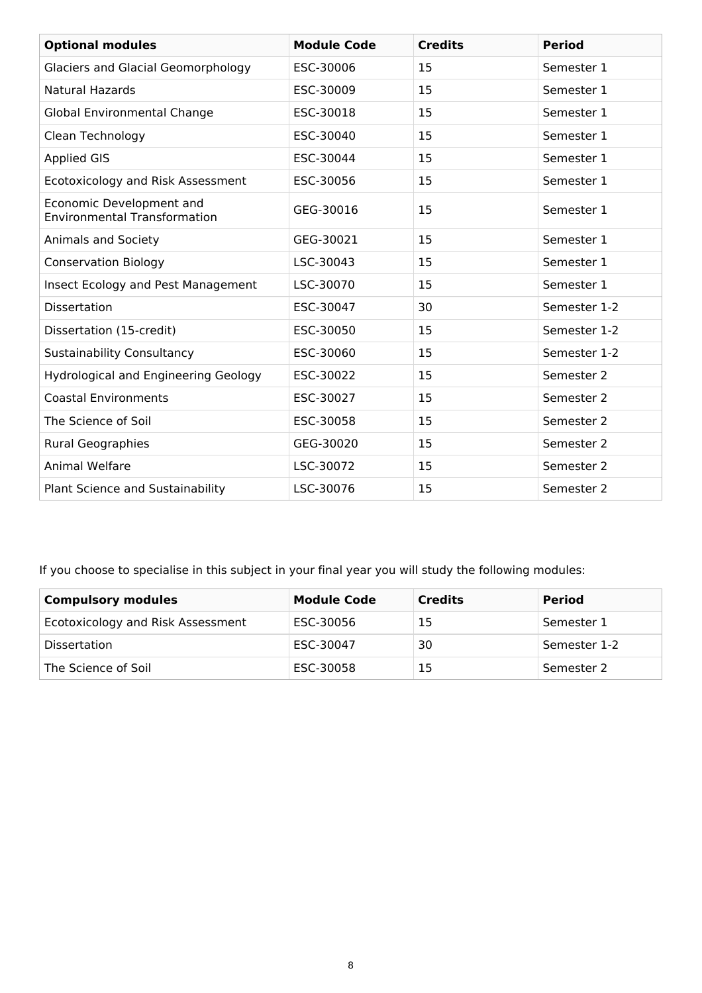| <b>Optional modules</b>                                         | <b>Module Code</b> | <b>Credits</b> | <b>Period</b> |
|-----------------------------------------------------------------|--------------------|----------------|---------------|
| <b>Glaciers and Glacial Geomorphology</b>                       | ESC-30006          | 15             | Semester 1    |
| <b>Natural Hazards</b>                                          | ESC-30009          | 15             | Semester 1    |
| <b>Global Environmental Change</b>                              | ESC-30018          | 15             | Semester 1    |
| Clean Technology                                                | ESC-30040          | 15             | Semester 1    |
| <b>Applied GIS</b>                                              | ESC-30044          | 15             | Semester 1    |
| Ecotoxicology and Risk Assessment                               | ESC-30056          | 15             | Semester 1    |
| Economic Development and<br><b>Environmental Transformation</b> | GEG-30016          | 15             | Semester 1    |
| Animals and Society                                             | GEG-30021          | 15             | Semester 1    |
| <b>Conservation Biology</b>                                     | LSC-30043          | 15             | Semester 1    |
| Insect Ecology and Pest Management                              | LSC-30070          | 15             | Semester 1    |
| <b>Dissertation</b>                                             | ESC-30047          | 30             | Semester 1-2  |
| Dissertation (15-credit)                                        | ESC-30050          | 15             | Semester 1-2  |
| <b>Sustainability Consultancy</b>                               | ESC-30060          | 15             | Semester 1-2  |
| <b>Hydrological and Engineering Geology</b>                     | ESC-30022          | 15             | Semester 2    |
| <b>Coastal Environments</b>                                     | ESC-30027          | 15             | Semester 2    |
| The Science of Soil                                             | ESC-30058          | 15             | Semester 2    |
| <b>Rural Geographies</b>                                        | GEG-30020          | 15             | Semester 2    |
| Animal Welfare                                                  | LSC-30072          | 15             | Semester 2    |
| Plant Science and Sustainability                                | LSC-30076          | 15             | Semester 2    |

If you choose to specialise in this subject in your final year you will study the following modules:

| <b>Compulsory modules</b>         | <b>Module Code</b> | <b>Credits</b> | <b>Period</b> |
|-----------------------------------|--------------------|----------------|---------------|
| Ecotoxicology and Risk Assessment | ESC-30056          | 15             | Semester 1    |
| <b>Dissertation</b>               | ESC-30047          | 30             | Semester 1-2  |
| The Science of Soil               | ESC-30058          | 15             | Semester 2    |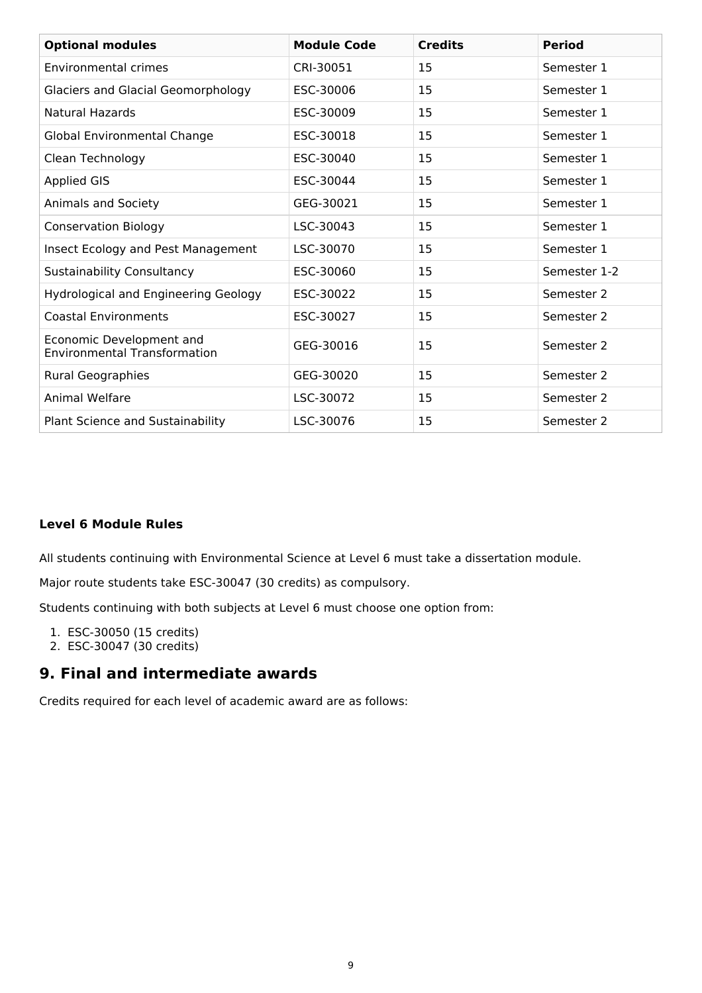| <b>Optional modules</b>                                         | <b>Module Code</b> | <b>Credits</b> | <b>Period</b> |
|-----------------------------------------------------------------|--------------------|----------------|---------------|
| <b>Environmental crimes</b>                                     | CRI-30051          | 15             | Semester 1    |
| <b>Glaciers and Glacial Geomorphology</b>                       | ESC-30006          | 15             | Semester 1    |
| <b>Natural Hazards</b>                                          | ESC-30009          | 15             | Semester 1    |
| Global Environmental Change                                     | ESC-30018          | 15             | Semester 1    |
| Clean Technology                                                | ESC-30040          | 15             | Semester 1    |
| <b>Applied GIS</b>                                              | ESC-30044          | 15             | Semester 1    |
| Animals and Society                                             | GEG-30021          | 15             | Semester 1    |
| <b>Conservation Biology</b>                                     | LSC-30043          | 15             | Semester 1    |
| Insect Ecology and Pest Management                              | LSC-30070          | 15             | Semester 1    |
| <b>Sustainability Consultancy</b>                               | ESC-30060          | 15             | Semester 1-2  |
| Hydrological and Engineering Geology                            | ESC-30022          | 15             | Semester 2    |
| <b>Coastal Environments</b>                                     | ESC-30027          | 15             | Semester 2    |
| Economic Development and<br><b>Environmental Transformation</b> | GEG-30016          | 15             | Semester 2    |
| <b>Rural Geographies</b>                                        | GEG-30020          | 15             | Semester 2    |
| <b>Animal Welfare</b>                                           | LSC-30072          | 15             | Semester 2    |
| Plant Science and Sustainability                                | LSC-30076          | 15             | Semester 2    |

### **Level 6 Module Rules**

All students continuing with Environmental Science at Level 6 must take a dissertation module.

Major route students take ESC-30047 (30 credits) as compulsory.

Students continuing with both subjects at Level 6 must choose one option from:

- 1. ESC-30050 (15 credits)
- 2. ESC-30047 (30 credits)

## **9. Final and intermediate awards**

Credits required for each level of academic award are as follows: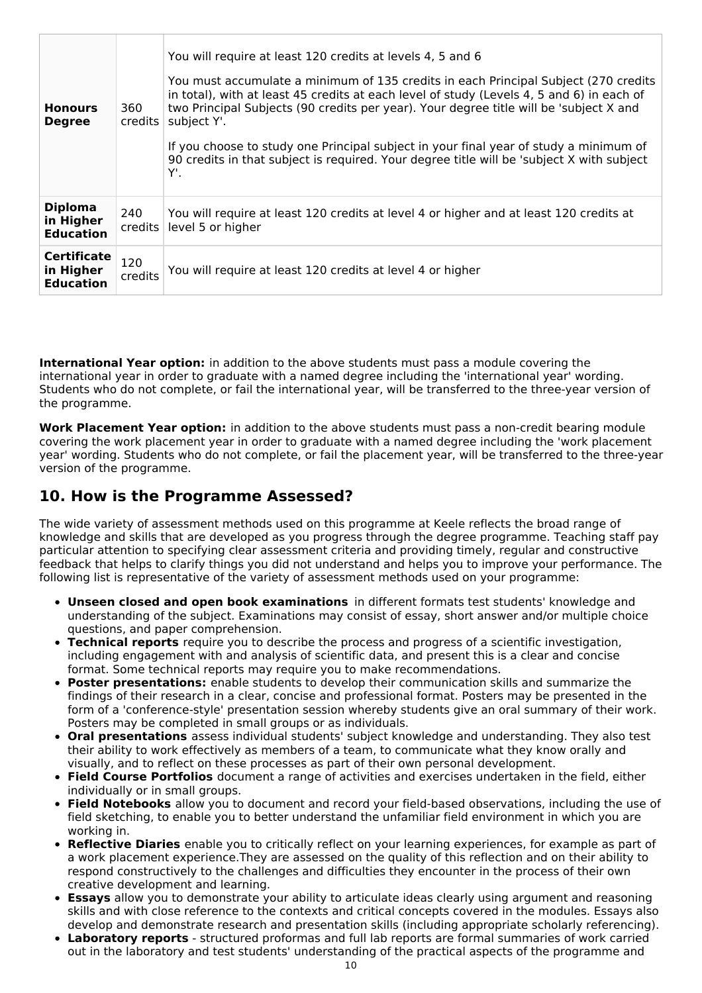| <b>Honours</b><br><b>Degree</b>                     | 360<br>credits | You will require at least 120 credits at levels 4, 5 and 6<br>You must accumulate a minimum of 135 credits in each Principal Subject (270 credits<br>in total), with at least 45 credits at each level of study (Levels 4, 5 and 6) in each of<br>two Principal Subjects (90 credits per year). Your degree title will be 'subject X and<br>subject Y'.<br>If you choose to study one Principal subject in your final year of study a minimum of<br>90 credits in that subject is required. Your degree title will be 'subject X with subject<br>Υ'. |
|-----------------------------------------------------|----------------|------------------------------------------------------------------------------------------------------------------------------------------------------------------------------------------------------------------------------------------------------------------------------------------------------------------------------------------------------------------------------------------------------------------------------------------------------------------------------------------------------------------------------------------------------|
| <b>Diploma</b><br>in Higher<br><b>Education</b>     | 240<br>credits | You will require at least 120 credits at level 4 or higher and at least 120 credits at<br>level 5 or higher                                                                                                                                                                                                                                                                                                                                                                                                                                          |
| <b>Certificate</b><br>in Higher<br><b>Education</b> | 120<br>credits | You will require at least 120 credits at level 4 or higher                                                                                                                                                                                                                                                                                                                                                                                                                                                                                           |

**International Year option:** in addition to the above students must pass a module covering the international year in order to graduate with a named degree including the 'international year' wording. Students who do not complete, or fail the international year, will be transferred to the three-year version of the programme.

**Work Placement Year option:** in addition to the above students must pass a non-credit bearing module covering the work placement year in order to graduate with a named degree including the 'work placement year' wording. Students who do not complete, or fail the placement year, will be transferred to the three-year version of the programme.

# **10. How is the Programme Assessed?**

The wide variety of assessment methods used on this programme at Keele reflects the broad range of knowledge and skills that are developed as you progress through the degree programme. Teaching staff pay particular attention to specifying clear assessment criteria and providing timely, regular and constructive feedback that helps to clarify things you did not understand and helps you to improve your performance. The following list is representative of the variety of assessment methods used on your programme:

- **Unseen closed and open book examinations** in different formats test students' knowledge and understanding of the subject. Examinations may consist of essay, short answer and/or multiple choice questions, and paper comprehension.
- **Technical reports** require you to describe the process and progress of a scientific investigation, including engagement with and analysis of scientific data, and present this is a clear and concise format. Some technical reports may require you to make recommendations.
- **Poster presentations:** enable students to develop their communication skills and summarize the findings of their research in a clear, concise and professional format. Posters may be presented in the form of a 'conference-style' presentation session whereby students give an oral summary of their work. Posters may be completed in small groups or as individuals.
- **Oral presentations** assess individual students' subject knowledge and understanding. They also test their ability to work effectively as members of a team, to communicate what they know orally and visually, and to reflect on these processes as part of their own personal development.
- **Field Course Portfolios** document a range of activities and exercises undertaken in the field, either individually or in small groups.
- **Field Notebooks** allow you to document and record your field-based observations, including the use of field sketching, to enable you to better understand the unfamiliar field environment in which you are working in.
- **Reflective Diaries** enable you to critically reflect on your learning experiences, for example as part of a work placement experience.They are assessed on the quality of this reflection and on their ability to respond constructively to the challenges and difficulties they encounter in the process of their own creative development and learning.
- **Essays** allow you to demonstrate your ability to articulate ideas clearly using argument and reasoning skills and with close reference to the contexts and critical concepts covered in the modules. Essays also develop and demonstrate research and presentation skills (including appropriate scholarly referencing).
- **Laboratory reports** structured proformas and full lab reports are formal summaries of work carried out in the laboratory and test students' understanding of the practical aspects of the programme and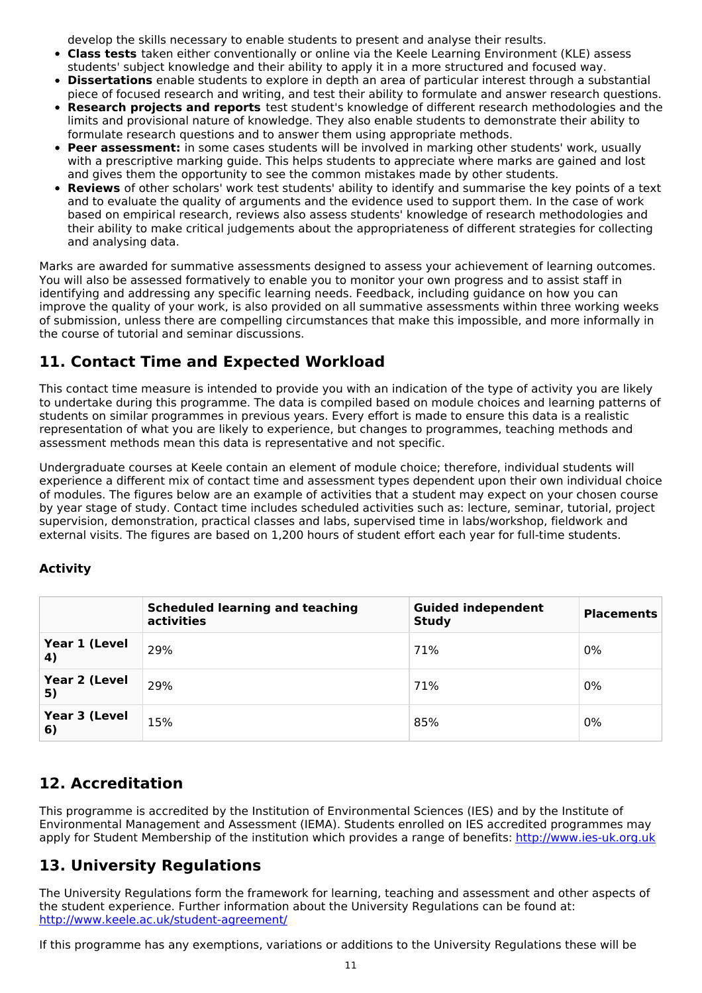develop the skills necessary to enable students to present and analyse their results.

- **Class tests** taken either conventionally or online via the Keele Learning Environment (KLE) assess students' subject knowledge and their ability to apply it in a more structured and focused way.
- **Dissertations** enable students to explore in depth an area of particular interest through a substantial piece of focused research and writing, and test their ability to formulate and answer research questions.
- **Research projects and reports** test student's knowledge of different research methodologies and the limits and provisional nature of knowledge. They also enable students to demonstrate their ability to formulate research questions and to answer them using appropriate methods.
- **Peer assessment:** in some cases students will be involved in marking other students' work, usually with a prescriptive marking guide. This helps students to appreciate where marks are gained and lost and gives them the opportunity to see the common mistakes made by other students.
- **Reviews** of other scholars' work test students' ability to identify and summarise the key points of a text and to evaluate the quality of arguments and the evidence used to support them. In the case of work based on empirical research, reviews also assess students' knowledge of research methodologies and their ability to make critical judgements about the appropriateness of different strategies for collecting and analysing data.

Marks are awarded for summative assessments designed to assess your achievement of learning outcomes. You will also be assessed formatively to enable you to monitor your own progress and to assist staff in identifying and addressing any specific learning needs. Feedback, including guidance on how you can improve the quality of your work, is also provided on all summative assessments within three working weeks of submission, unless there are compelling circumstances that make this impossible, and more informally in the course of tutorial and seminar discussions.

# **11. Contact Time and Expected Workload**

This contact time measure is intended to provide you with an indication of the type of activity you are likely to undertake during this programme. The data is compiled based on module choices and learning patterns of students on similar programmes in previous years. Every effort is made to ensure this data is a realistic representation of what you are likely to experience, but changes to programmes, teaching methods and assessment methods mean this data is representative and not specific.

Undergraduate courses at Keele contain an element of module choice; therefore, individual students will experience a different mix of contact time and assessment types dependent upon their own individual choice of modules. The figures below are an example of activities that a student may expect on your chosen course by year stage of study. Contact time includes scheduled activities such as: lecture, seminar, tutorial, project supervision, demonstration, practical classes and labs, supervised time in labs/workshop, fieldwork and external visits. The figures are based on 1,200 hours of student effort each year for full-time students.

## **Activity**

|                     | <b>Scheduled learning and teaching</b><br>activities | <b>Guided independent</b><br><b>Study</b> | <b>Placements</b> |
|---------------------|------------------------------------------------------|-------------------------------------------|-------------------|
| Year 1 (Level<br>4) | 29%                                                  | 71%                                       | 0%                |
| Year 2 (Level<br>5) | 29%                                                  | 71%                                       | 0%                |
| Year 3 (Level<br>6) | 15%                                                  | 85%                                       | 0%                |

# **12. Accreditation**

This programme is accredited by the Institution of Environmental Sciences (IES) and by the Institute of Environmental Management and Assessment (IEMA). Students enrolled on IES accredited programmes may apply for Student Membership of the institution which provides a range of benefits: <http://www.ies-uk.org.uk>

# **13. University Regulations**

The University Regulations form the framework for learning, teaching and assessment and other aspects of the student experience. Further information about the University Regulations can be found at: <http://www.keele.ac.uk/student-agreement/>

If this programme has any exemptions, variations or additions to the University Regulations these will be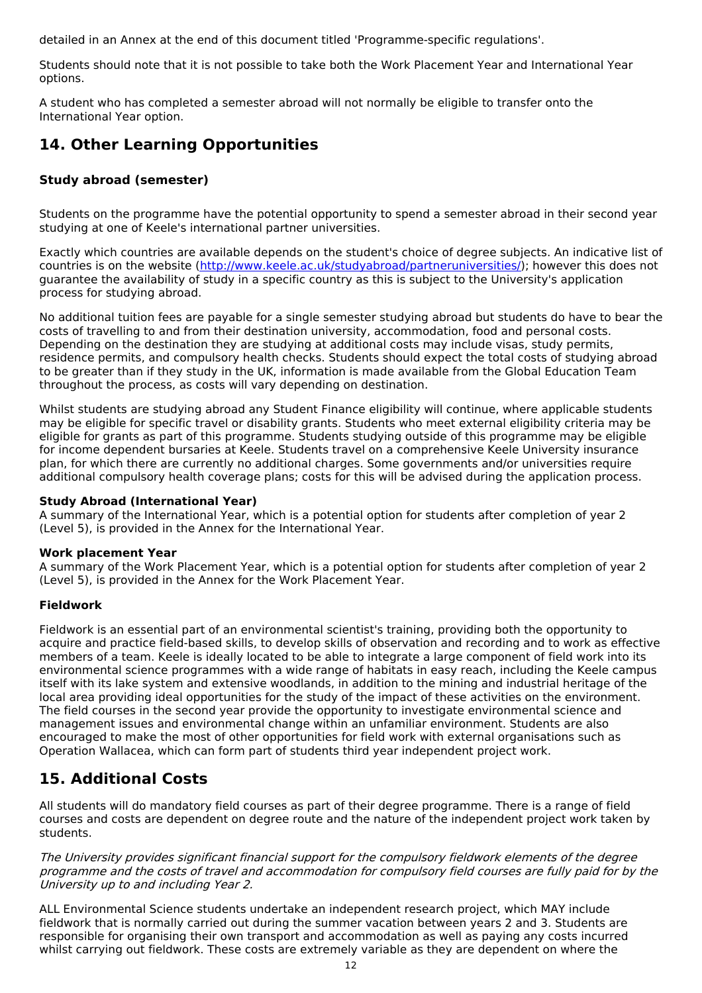detailed in an Annex at the end of this document titled 'Programme-specific regulations'.

Students should note that it is not possible to take both the Work Placement Year and International Year options.

A student who has completed a semester abroad will not normally be eligible to transfer onto the International Year option.

# **14. Other Learning Opportunities**

### **Study abroad (semester)**

Students on the programme have the potential opportunity to spend a semester abroad in their second year studying at one of Keele's international partner universities.

Exactly which countries are available depends on the student's choice of degree subjects. An indicative list of countries is on the website (<http://www.keele.ac.uk/studyabroad/partneruniversities/>); however this does not guarantee the availability of study in a specific country as this is subject to the University's application process for studying abroad.

No additional tuition fees are payable for a single semester studying abroad but students do have to bear the costs of travelling to and from their destination university, accommodation, food and personal costs. Depending on the destination they are studying at additional costs may include visas, study permits, residence permits, and compulsory health checks. Students should expect the total costs of studying abroad to be greater than if they study in the UK, information is made available from the Global Education Team throughout the process, as costs will vary depending on destination.

Whilst students are studying abroad any Student Finance eligibility will continue, where applicable students may be eligible for specific travel or disability grants. Students who meet external eligibility criteria may be eligible for grants as part of this programme. Students studying outside of this programme may be eligible for income dependent bursaries at Keele. Students travel on a comprehensive Keele University insurance plan, for which there are currently no additional charges. Some governments and/or universities require additional compulsory health coverage plans; costs for this will be advised during the application process.

#### **Study Abroad (International Year)**

A summary of the International Year, which is a potential option for students after completion of year 2 (Level 5), is provided in the Annex for the International Year.

#### **Work placement Year**

A summary of the Work Placement Year, which is a potential option for students after completion of year 2 (Level 5), is provided in the Annex for the Work Placement Year.

### **Fieldwork**

Fieldwork is an essential part of an environmental scientist's training, providing both the opportunity to acquire and practice field-based skills, to develop skills of observation and recording and to work as effective members of a team. Keele is ideally located to be able to integrate a large component of field work into its environmental science programmes with a wide range of habitats in easy reach, including the Keele campus itself with its lake system and extensive woodlands, in addition to the mining and industrial heritage of the local area providing ideal opportunities for the study of the impact of these activities on the environment. The field courses in the second year provide the opportunity to investigate environmental science and management issues and environmental change within an unfamiliar environment. Students are also encouraged to make the most of other opportunities for field work with external organisations such as Operation Wallacea, which can form part of students third year independent project work.

# **15. Additional Costs**

All students will do mandatory field courses as part of their degree programme. There is a range of field courses and costs are dependent on degree route and the nature of the independent project work taken by students.

The University provides significant financial support for the compulsory fieldwork elements of the degree programme and the costs of travel and accommodation for compulsory field courses are fully paid for by the University up to and including Year 2.

ALL Environmental Science students undertake an independent research project, which MAY include fieldwork that is normally carried out during the summer vacation between years 2 and 3. Students are responsible for organising their own transport and accommodation as well as paying any costs incurred whilst carrying out fieldwork. These costs are extremely variable as they are dependent on where the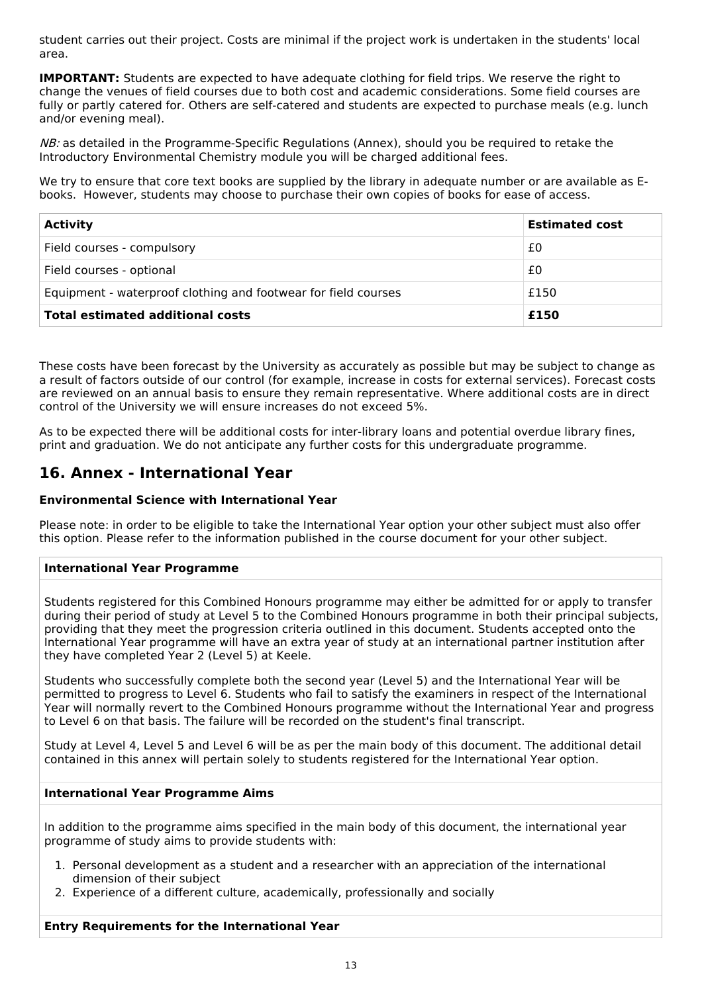student carries out their project. Costs are minimal if the project work is undertaken in the students' local area.

**IMPORTANT:** Students are expected to have adequate clothing for field trips. We reserve the right to change the venues of field courses due to both cost and academic considerations. Some field courses are fully or partly catered for. Others are self-catered and students are expected to purchase meals (e.g. lunch and/or evening meal).

NB: as detailed in the Programme-Specific Regulations (Annex), should you be reguired to retake the Introductory Environmental Chemistry module you will be charged additional fees.

We try to ensure that core text books are supplied by the library in adequate number or are available as Ebooks. However, students may choose to purchase their own copies of books for ease of access.

| <b>Activity</b>                                                | <b>Estimated cost</b> |
|----------------------------------------------------------------|-----------------------|
| Field courses - compulsory                                     | £0                    |
| Field courses - optional                                       | £0                    |
| Equipment - waterproof clothing and footwear for field courses | £150                  |
| <b>Total estimated additional costs</b>                        | £150                  |

These costs have been forecast by the University as accurately as possible but may be subject to change as a result of factors outside of our control (for example, increase in costs for external services). Forecast costs are reviewed on an annual basis to ensure they remain representative. Where additional costs are in direct control of the University we will ensure increases do not exceed 5%.

As to be expected there will be additional costs for inter-library loans and potential overdue library fines, print and graduation. We do not anticipate any further costs for this undergraduate programme.

# **16. Annex - International Year**

### **Environmental Science with International Year**

Please note: in order to be eligible to take the International Year option your other subject must also offer this option. Please refer to the information published in the course document for your other subject.

#### **International Year Programme**

Students registered for this Combined Honours programme may either be admitted for or apply to transfer during their period of study at Level 5 to the Combined Honours programme in both their principal subjects, providing that they meet the progression criteria outlined in this document. Students accepted onto the International Year programme will have an extra year of study at an international partner institution after they have completed Year 2 (Level 5) at Keele.

Students who successfully complete both the second year (Level 5) and the International Year will be permitted to progress to Level 6. Students who fail to satisfy the examiners in respect of the International Year will normally revert to the Combined Honours programme without the International Year and progress to Level 6 on that basis. The failure will be recorded on the student's final transcript.

Study at Level 4, Level 5 and Level 6 will be as per the main body of this document. The additional detail contained in this annex will pertain solely to students registered for the International Year option.

#### **International Year Programme Aims**

In addition to the programme aims specified in the main body of this document, the international year programme of study aims to provide students with:

- 1. Personal development as a student and a researcher with an appreciation of the international dimension of their subject
- 2. Experience of a different culture, academically, professionally and socially

#### **Entry Requirements for the International Year**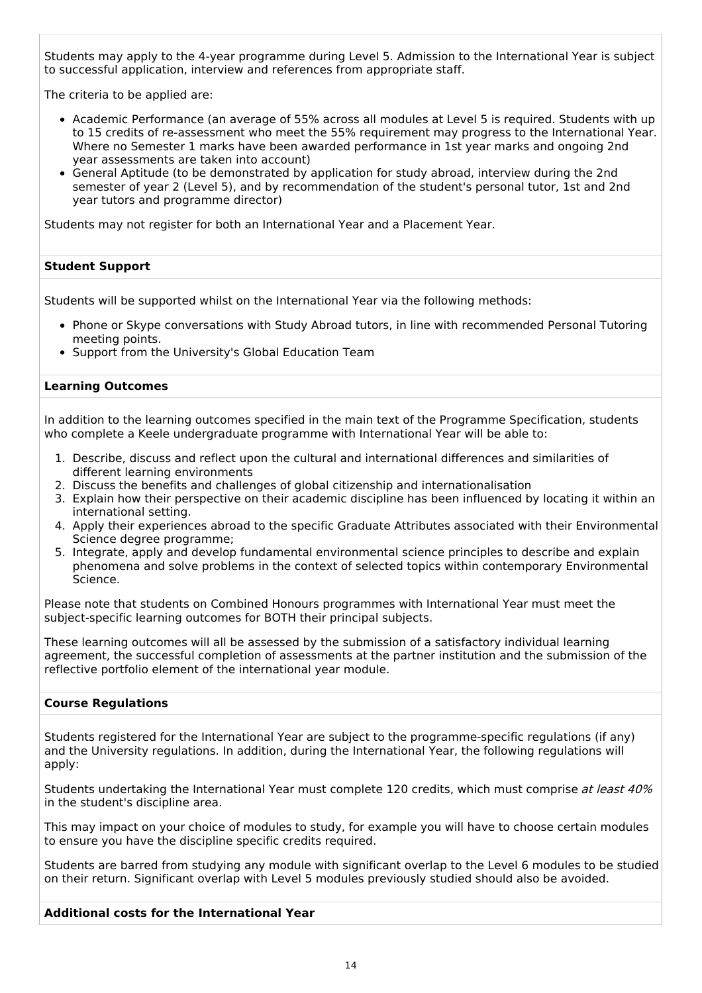Students may apply to the 4-year programme during Level 5. Admission to the International Year is subject to successful application, interview and references from appropriate staff.

The criteria to be applied are:

- Academic Performance (an average of 55% across all modules at Level 5 is required. Students with up to 15 credits of re-assessment who meet the 55% requirement may progress to the International Year. Where no Semester 1 marks have been awarded performance in 1st year marks and ongoing 2nd year assessments are taken into account)
- General Aptitude (to be demonstrated by application for study abroad, interview during the 2nd semester of year 2 (Level 5), and by recommendation of the student's personal tutor, 1st and 2nd year tutors and programme director)

Students may not register for both an International Year and a Placement Year.

#### **Student Support**

Students will be supported whilst on the International Year via the following methods:

- Phone or Skype conversations with Study Abroad tutors, in line with recommended Personal Tutoring meeting points.
- Support from the University's Global Education Team

#### **Learning Outcomes**

In addition to the learning outcomes specified in the main text of the Programme Specification, students who complete a Keele undergraduate programme with International Year will be able to:

- 1. Describe, discuss and reflect upon the cultural and international differences and similarities of different learning environments
- 2. Discuss the benefits and challenges of global citizenship and internationalisation
- 3. Explain how their perspective on their academic discipline has been influenced by locating it within an international setting.
- 4. Apply their experiences abroad to the specific Graduate Attributes associated with their Environmental Science degree programme;
- 5. Integrate, apply and develop fundamental environmental science principles to describe and explain phenomena and solve problems in the context of selected topics within contemporary Environmental Science.

Please note that students on Combined Honours programmes with International Year must meet the subject-specific learning outcomes for BOTH their principal subjects.

These learning outcomes will all be assessed by the submission of a satisfactory individual learning agreement, the successful completion of assessments at the partner institution and the submission of the reflective portfolio element of the international year module.

#### **Course Regulations**

Students registered for the International Year are subject to the programme-specific regulations (if any) and the University regulations. In addition, during the International Year, the following regulations will apply:

Students undertaking the International Year must complete 120 credits, which must comprise at least 40% in the student's discipline area.

This may impact on your choice of modules to study, for example you will have to choose certain modules to ensure you have the discipline specific credits required.

Students are barred from studying any module with significant overlap to the Level 6 modules to be studied on their return. Significant overlap with Level 5 modules previously studied should also be avoided.

#### **Additional costs for the International Year**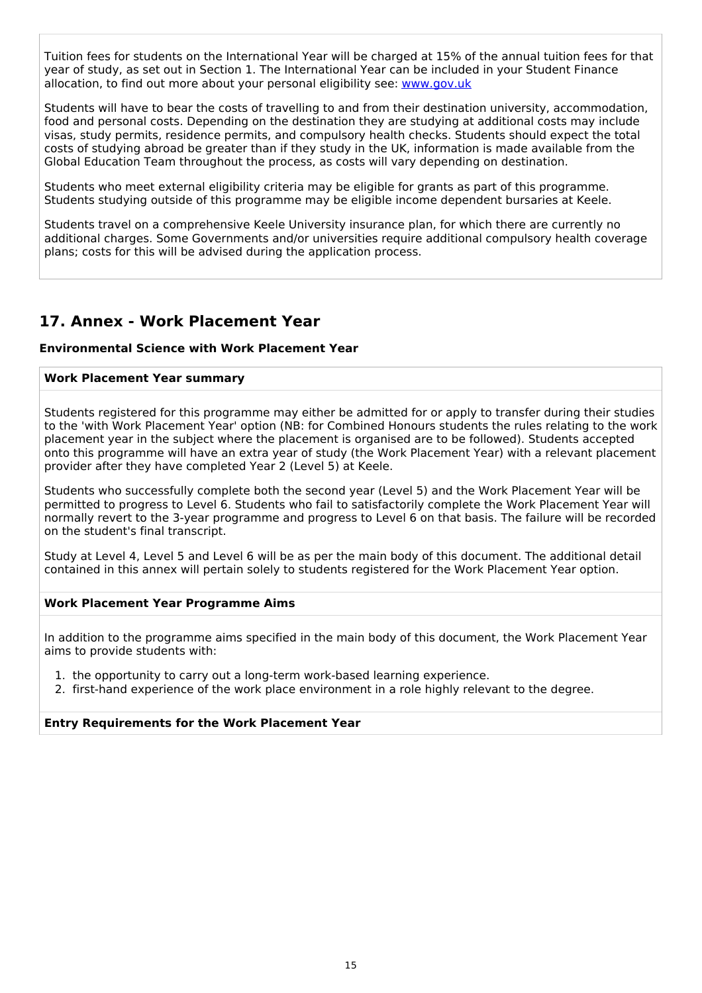Tuition fees for students on the International Year will be charged at 15% of the annual tuition fees for that year of study, as set out in Section 1. The International Year can be included in your Student Finance allocation, to find out more about your personal eligibility see: [www.gov.uk](http://www.gov.uk/)

Students will have to bear the costs of travelling to and from their destination university, accommodation, food and personal costs. Depending on the destination they are studying at additional costs may include visas, study permits, residence permits, and compulsory health checks. Students should expect the total costs of studying abroad be greater than if they study in the UK, information is made available from the Global Education Team throughout the process, as costs will vary depending on destination.

Students who meet external eligibility criteria may be eligible for grants as part of this programme. Students studying outside of this programme may be eligible income dependent bursaries at Keele.

Students travel on a comprehensive Keele University insurance plan, for which there are currently no additional charges. Some Governments and/or universities require additional compulsory health coverage plans; costs for this will be advised during the application process.

# **17. Annex - Work Placement Year**

#### **Environmental Science with Work Placement Year**

#### **Work Placement Year summary**

Students registered for this programme may either be admitted for or apply to transfer during their studies to the 'with Work Placement Year' option (NB: for Combined Honours students the rules relating to the work placement year in the subject where the placement is organised are to be followed). Students accepted onto this programme will have an extra year of study (the Work Placement Year) with a relevant placement provider after they have completed Year 2 (Level 5) at Keele.

Students who successfully complete both the second year (Level 5) and the Work Placement Year will be permitted to progress to Level 6. Students who fail to satisfactorily complete the Work Placement Year will normally revert to the 3-year programme and progress to Level 6 on that basis. The failure will be recorded on the student's final transcript.

Study at Level 4, Level 5 and Level 6 will be as per the main body of this document. The additional detail contained in this annex will pertain solely to students registered for the Work Placement Year option.

#### **Work Placement Year Programme Aims**

In addition to the programme aims specified in the main body of this document, the Work Placement Year aims to provide students with:

1. the opportunity to carry out a long-term work-based learning experience.

2. first-hand experience of the work place environment in a role highly relevant to the degree.

#### **Entry Requirements for the Work Placement Year**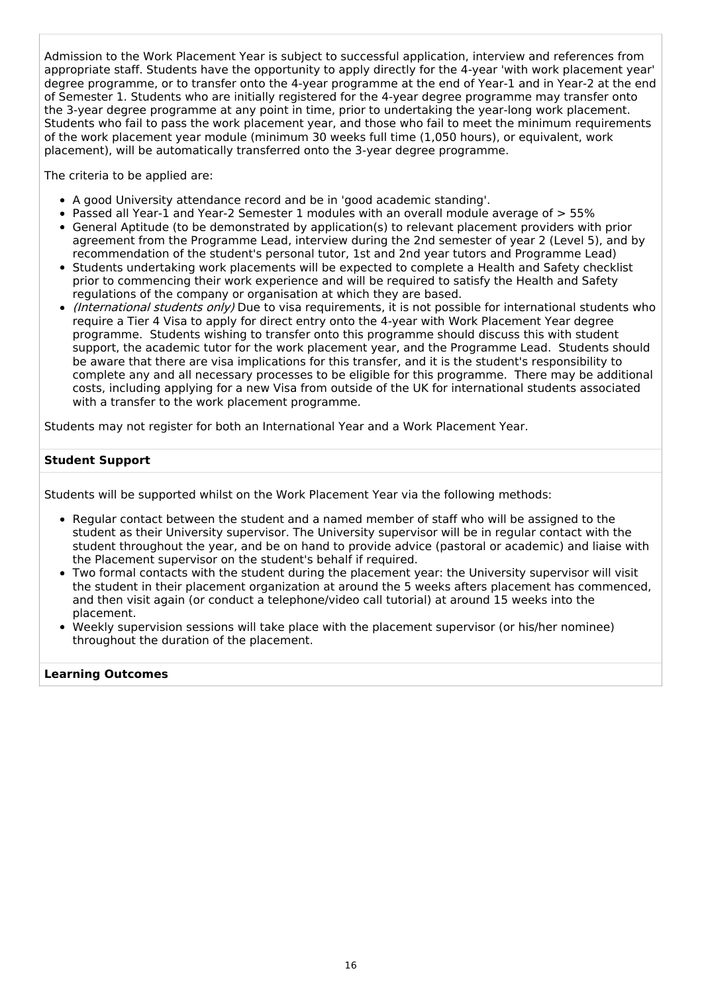Admission to the Work Placement Year is subject to successful application, interview and references from appropriate staff. Students have the opportunity to apply directly for the 4-year 'with work placement year' degree programme, or to transfer onto the 4-year programme at the end of Year-1 and in Year-2 at the end of Semester 1. Students who are initially registered for the 4-year degree programme may transfer onto the 3-year degree programme at any point in time, prior to undertaking the year-long work placement. Students who fail to pass the work placement year, and those who fail to meet the minimum requirements of the work placement year module (minimum 30 weeks full time (1,050 hours), or equivalent, work placement), will be automatically transferred onto the 3-year degree programme.

The criteria to be applied are:

- A good University attendance record and be in 'good academic standing'.
- Passed all Year-1 and Year-2 Semester 1 modules with an overall module average of > 55%
- General Aptitude (to be demonstrated by application(s) to relevant placement providers with prior agreement from the Programme Lead, interview during the 2nd semester of year 2 (Level 5), and by recommendation of the student's personal tutor, 1st and 2nd year tutors and Programme Lead)
- Students undertaking work placements will be expected to complete a Health and Safety checklist prior to commencing their work experience and will be required to satisfy the Health and Safety regulations of the company or organisation at which they are based.
- (International students only) Due to visa requirements, it is not possible for international students who require a Tier 4 Visa to apply for direct entry onto the 4-year with Work Placement Year degree programme. Students wishing to transfer onto this programme should discuss this with student support, the academic tutor for the work placement year, and the Programme Lead. Students should be aware that there are visa implications for this transfer, and it is the student's responsibility to complete any and all necessary processes to be eligible for this programme. There may be additional costs, including applying for a new Visa from outside of the UK for international students associated with a transfer to the work placement programme.

Students may not register for both an International Year and a Work Placement Year.

#### **Student Support**

Students will be supported whilst on the Work Placement Year via the following methods:

- Regular contact between the student and a named member of staff who will be assigned to the student as their University supervisor. The University supervisor will be in regular contact with the student throughout the year, and be on hand to provide advice (pastoral or academic) and liaise with the Placement supervisor on the student's behalf if required.
- Two formal contacts with the student during the placement year: the University supervisor will visit the student in their placement organization at around the 5 weeks afters placement has commenced, and then visit again (or conduct a telephone/video call tutorial) at around 15 weeks into the placement.
- Weekly supervision sessions will take place with the placement supervisor (or his/her nominee) throughout the duration of the placement.

#### **Learning Outcomes**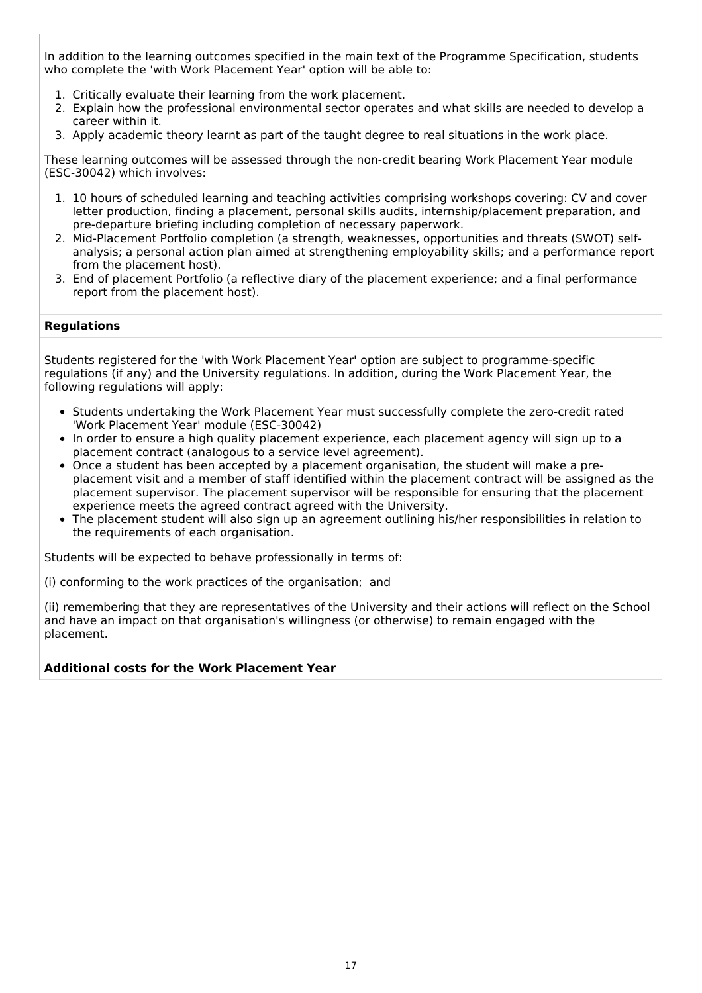In addition to the learning outcomes specified in the main text of the Programme Specification, students who complete the 'with Work Placement Year' option will be able to:

- 1. Critically evaluate their learning from the work placement.
- 2. Explain how the professional environmental sector operates and what skills are needed to develop a career within it.
- 3. Apply academic theory learnt as part of the taught degree to real situations in the work place.

These learning outcomes will be assessed through the non-credit bearing Work Placement Year module (ESC-30042) which involves:

- 1. 10 hours of scheduled learning and teaching activities comprising workshops covering: CV and cover letter production, finding a placement, personal skills audits, internship/placement preparation, and pre-departure briefing including completion of necessary paperwork.
- 2. Mid-Placement Portfolio completion (a strength, weaknesses, opportunities and threats (SWOT) selfanalysis; a personal action plan aimed at strengthening employability skills; and a performance report from the placement host).
- 3. End of placement Portfolio (a reflective diary of the placement experience; and a final performance report from the placement host).

#### **Regulations**

Students registered for the 'with Work Placement Year' option are subject to programme-specific regulations (if any) and the University regulations. In addition, during the Work Placement Year, the following regulations will apply:

- Students undertaking the Work Placement Year must successfully complete the zero-credit rated 'Work Placement Year' module (ESC-30042)
- In order to ensure a high quality placement experience, each placement agency will sign up to a placement contract (analogous to a service level agreement).
- Once a student has been accepted by a placement organisation, the student will make a preplacement visit and a member of staff identified within the placement contract will be assigned as the placement supervisor. The placement supervisor will be responsible for ensuring that the placement experience meets the agreed contract agreed with the University.
- The placement student will also sign up an agreement outlining his/her responsibilities in relation to the requirements of each organisation.

Students will be expected to behave professionally in terms of:

(i) conforming to the work practices of the organisation; and

(ii) remembering that they are representatives of the University and their actions will reflect on the School and have an impact on that organisation's willingness (or otherwise) to remain engaged with the placement.

#### **Additional costs for the Work Placement Year**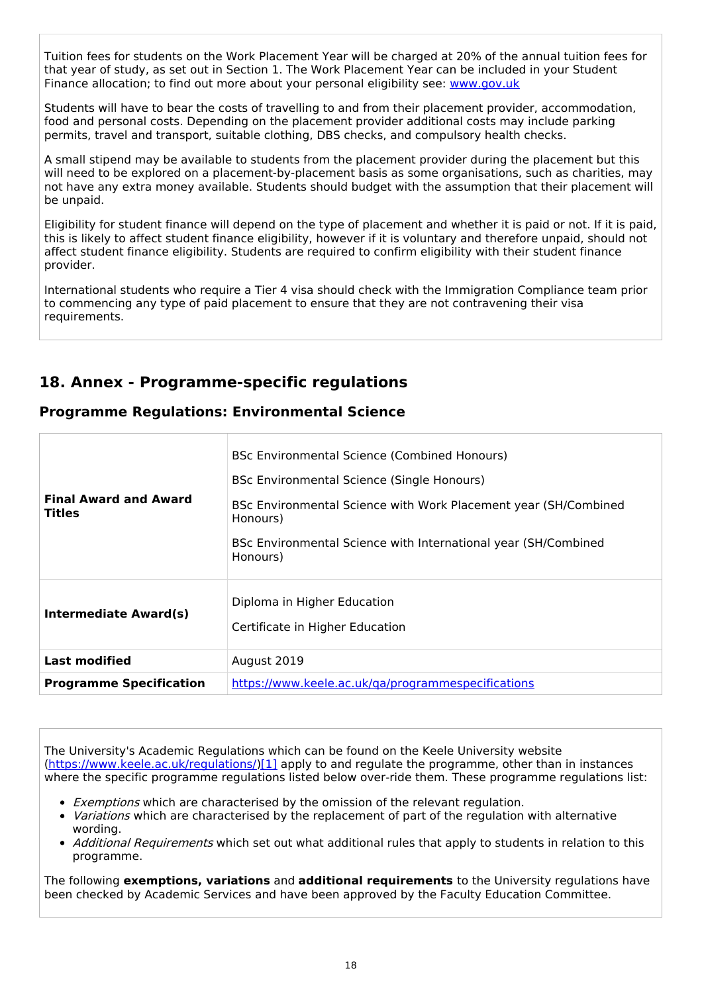Tuition fees for students on the Work Placement Year will be charged at 20% of the annual tuition fees for that year of study, as set out in Section 1. The Work Placement Year can be included in your Student Finance allocation; to find out more about your personal eligibility see: [www.gov.uk](http://www.gov.uk/)

Students will have to bear the costs of travelling to and from their placement provider, accommodation, food and personal costs. Depending on the placement provider additional costs may include parking permits, travel and transport, suitable clothing, DBS checks, and compulsory health checks.

A small stipend may be available to students from the placement provider during the placement but this will need to be explored on a placement-by-placement basis as some organisations, such as charities, may not have any extra money available. Students should budget with the assumption that their placement will be unpaid.

Eligibility for student finance will depend on the type of placement and whether it is paid or not. If it is paid, this is likely to affect student finance eligibility, however if it is voluntary and therefore unpaid, should not affect student finance eligibility. Students are required to confirm eligibility with their student finance provider.

International students who require a Tier 4 visa should check with the Immigration Compliance team prior to commencing any type of paid placement to ensure that they are not contravening their visa requirements.

# **18. Annex - Programme-specific regulations**

|  | <b>Programme Regulations: Environmental Science</b> |  |
|--|-----------------------------------------------------|--|
|  |                                                     |  |

| <b>Final Award and Award</b><br><b>Titles</b> | BSc Environmental Science (Combined Honours)<br>BSc Environmental Science (Single Honours)<br>BSc Environmental Science with Work Placement year (SH/Combined<br>Honours)<br>BSc Environmental Science with International year (SH/Combined<br>Honours) |  |  |
|-----------------------------------------------|---------------------------------------------------------------------------------------------------------------------------------------------------------------------------------------------------------------------------------------------------------|--|--|
| <b>Intermediate Award(s)</b>                  | Diploma in Higher Education<br>Certificate in Higher Education                                                                                                                                                                                          |  |  |
| <b>Last modified</b>                          | August 2019                                                                                                                                                                                                                                             |  |  |
| <b>Programme Specification</b>                | https://www.keele.ac.uk/ga/programmespecifications                                                                                                                                                                                                      |  |  |

The University's Academic Regulations which can be found on the Keele University website [\(https://www.keele.ac.uk/regulations/](https://www.keele.ac.uk/regulations/)[\)\[1\]](https://scims-api.keele.ac.uk/#_ftn1) apply to and regulate the programme, other than in instances where the specific programme regulations listed below over-ride them. These programme regulations list:

- **Exemptions which are characterised by the omission of the relevant regulation.**
- Variations which are characterised by the replacement of part of the regulation with alternative wording.
- Additional Requirements which set out what additional rules that apply to students in relation to this programme.

The following **exemptions, variations** and **additional requirements** to the University regulations have been checked by Academic Services and have been approved by the Faculty Education Committee.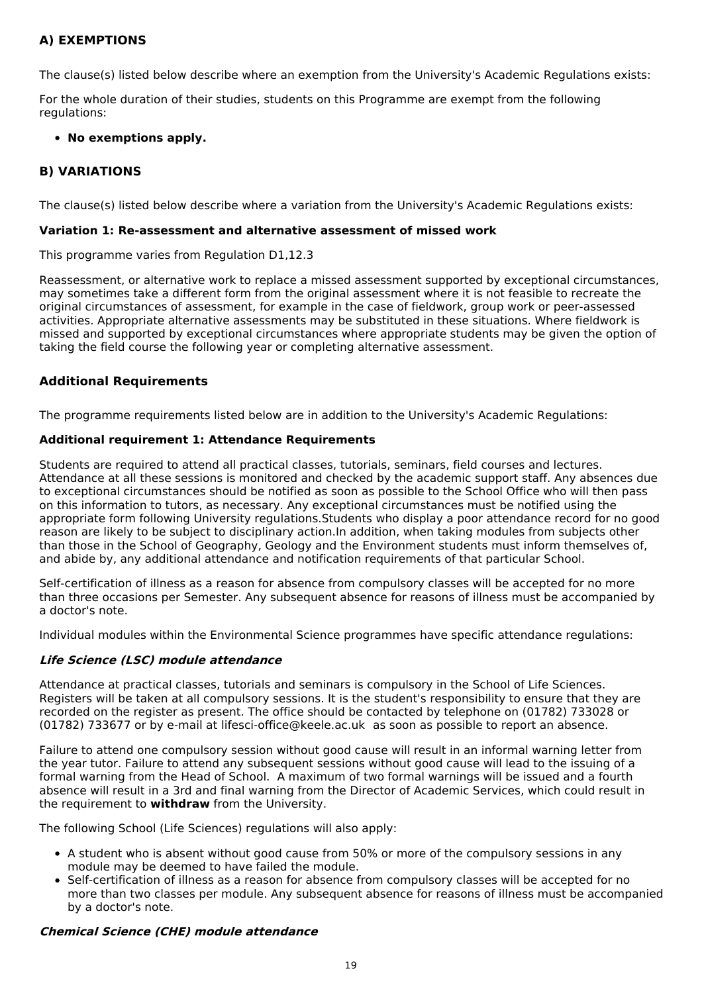### **A) EXEMPTIONS**

The clause(s) listed below describe where an exemption from the University's Academic Regulations exists:

For the whole duration of their studies, students on this Programme are exempt from the following regulations:

#### **No exemptions apply.**

### **B) VARIATIONS**

The clause(s) listed below describe where a variation from the University's Academic Regulations exists:

#### **Variation 1: Re-assessment and alternative assessment of missed work**

This programme varies from Regulation D1,12.3

Reassessment, or alternative work to replace a missed assessment supported by exceptional circumstances, may sometimes take a different form from the original assessment where it is not feasible to recreate the original circumstances of assessment, for example in the case of fieldwork, group work or peer-assessed activities. Appropriate alternative assessments may be substituted in these situations. Where fieldwork is missed and supported by exceptional circumstances where appropriate students may be given the option of taking the field course the following year or completing alternative assessment.

#### **Additional Requirements**

The programme requirements listed below are in addition to the University's Academic Regulations:

#### **Additional requirement 1: Attendance Requirements**

Students are required to attend all practical classes, tutorials, seminars, field courses and lectures. Attendance at all these sessions is monitored and checked by the academic support staff. Any absences due to exceptional circumstances should be notified as soon as possible to the School Office who will then pass on this information to tutors, as necessary. Any exceptional circumstances must be notified using the appropriate form following University regulations.Students who display a poor attendance record for no good reason are likely to be subject to disciplinary action.In addition, when taking modules from subjects other than those in the School of Geography, Geology and the Environment students must inform themselves of, and abide by, any additional attendance and notification requirements of that particular School.

Self-certification of illness as a reason for absence from compulsory classes will be accepted for no more than three occasions per Semester. Any subsequent absence for reasons of illness must be accompanied by a doctor's note.

Individual modules within the Environmental Science programmes have specific attendance regulations:

#### **Life Science (LSC) module attendance**

Attendance at practical classes, tutorials and seminars is compulsory in the School of Life Sciences. Registers will be taken at all compulsory sessions. It is the student's responsibility to ensure that they are recorded on the register as present. The office should be contacted by telephone on (01782) 733028 or (01782) 733677 or by e-mail at lifesci-office@keele.ac.uk as soon as possible to report an absence.

Failure to attend one compulsory session without good cause will result in an informal warning letter from the year tutor. Failure to attend any subsequent sessions without good cause will lead to the issuing of a formal warning from the Head of School. A maximum of two formal warnings will be issued and a fourth absence will result in a 3rd and final warning from the Director of Academic Services, which could result in the requirement to **withdraw** from the University.

The following School (Life Sciences) regulations will also apply:

- A student who is absent without good cause from 50% or more of the compulsory sessions in any module may be deemed to have failed the module.
- Self-certification of illness as a reason for absence from compulsory classes will be accepted for no more than two classes per module. Any subsequent absence for reasons of illness must be accompanied by a doctor's note.

#### **Chemical Science (CHE) module attendance**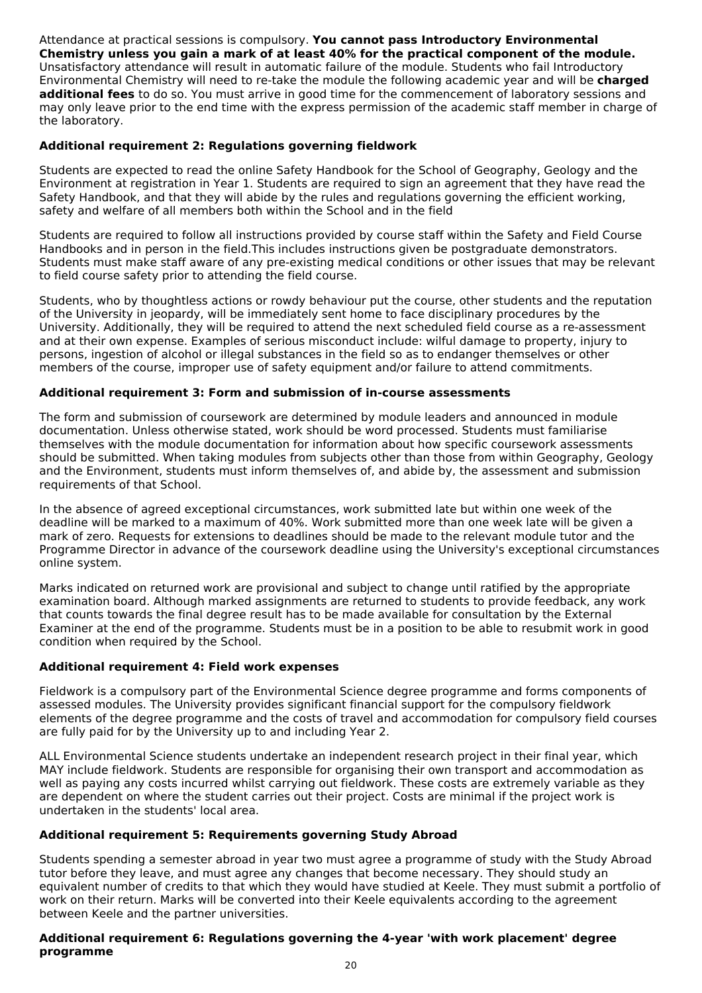Attendance at practical sessions is compulsory. **You cannot pass Introductory Environmental Chemistry unless you gain a mark of at least 40% for the practical component of the module.** Unsatisfactory attendance will result in automatic failure of the module. Students who fail Introductory Environmental Chemistry will need to re-take the module the following academic year and will be **charged additional fees** to do so. You must arrive in good time for the commencement of laboratory sessions and may only leave prior to the end time with the express permission of the academic staff member in charge of the laboratory.

#### **Additional requirement 2: Regulations governing fieldwork**

Students are expected to read the online Safety Handbook for the School of Geography, Geology and the Environment at registration in Year 1. Students are required to sign an agreement that they have read the Safety Handbook, and that they will abide by the rules and regulations governing the efficient working, safety and welfare of all members both within the School and in the field

Students are required to follow all instructions provided by course staff within the Safety and Field Course Handbooks and in person in the field.This includes instructions given be postgraduate demonstrators. Students must make staff aware of any pre-existing medical conditions or other issues that may be relevant to field course safety prior to attending the field course.

Students, who by thoughtless actions or rowdy behaviour put the course, other students and the reputation of the University in jeopardy, will be immediately sent home to face disciplinary procedures by the University. Additionally, they will be required to attend the next scheduled field course as a re-assessment and at their own expense. Examples of serious misconduct include: wilful damage to property, injury to persons, ingestion of alcohol or illegal substances in the field so as to endanger themselves or other members of the course, improper use of safety equipment and/or failure to attend commitments.

#### **Additional requirement 3: Form and submission of in-course assessments**

The form and submission of coursework are determined by module leaders and announced in module documentation. Unless otherwise stated, work should be word processed. Students must familiarise themselves with the module documentation for information about how specific coursework assessments should be submitted. When taking modules from subjects other than those from within Geography, Geology and the Environment, students must inform themselves of, and abide by, the assessment and submission requirements of that School.

In the absence of agreed exceptional circumstances, work submitted late but within one week of the deadline will be marked to a maximum of 40%. Work submitted more than one week late will be given a mark of zero. Requests for extensions to deadlines should be made to the relevant module tutor and the Programme Director in advance of the coursework deadline using the University's exceptional circumstances online system.

Marks indicated on returned work are provisional and subject to change until ratified by the appropriate examination board. Although marked assignments are returned to students to provide feedback, any work that counts towards the final degree result has to be made available for consultation by the External Examiner at the end of the programme. Students must be in a position to be able to resubmit work in good condition when required by the School.

### **Additional requirement 4: Field work expenses**

Fieldwork is a compulsory part of the Environmental Science degree programme and forms components of assessed modules. The University provides significant financial support for the compulsory fieldwork elements of the degree programme and the costs of travel and accommodation for compulsory field courses are fully paid for by the University up to and including Year 2.

ALL Environmental Science students undertake an independent research project in their final year, which MAY include fieldwork. Students are responsible for organising their own transport and accommodation as well as paying any costs incurred whilst carrying out fieldwork. These costs are extremely variable as they are dependent on where the student carries out their project. Costs are minimal if the project work is undertaken in the students' local area.

#### **Additional requirement 5: Requirements governing Study Abroad**

Students spending a semester abroad in year two must agree a programme of study with the Study Abroad tutor before they leave, and must agree any changes that become necessary. They should study an equivalent number of credits to that which they would have studied at Keele. They must submit a portfolio of work on their return. Marks will be converted into their Keele equivalents according to the agreement between Keele and the partner universities.

#### **Additional requirement 6: Regulations governing the 4-year 'with work placement' degree programme**